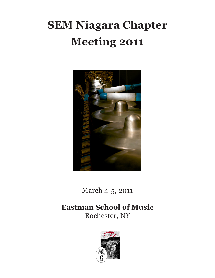# **SEM Niagara Chapter Meeting 2011**



March 4-5, 2011

**Eastman School of Music** Rochester, NY

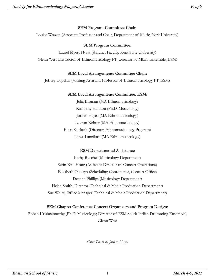#### **SEM Program Committee Chair:**

Louise Wrazen (Associate Professor and Chair, Department of Music, York University)

#### **SEM Program Committee:**

Laurel Myers Hurst (Adjunct Faculty, Kent State University) Glenn West (Instructor of Ethnomusicology PT, Director of Mbira Ensemble, ESM)

#### **SEM Local Arrangements Committee Chair:**

Jeffrey Cupchik (Visiting Assistant Professor of Ethnomusicology PT, ESM)

#### **SEM Local Arrangements Committee, ESM**:

Julia Broman (MA Ethnomusicology) Kimberly Hannon (Ph.D. Musicology) Jordan Hayes (MA Ethnomusicology) Lauron Kehrer (MA Ethnomusicology) Ellen Koskoff (Director, Ethnomusicology Program) Nawa Lanzilotti (MA Ethnomusicology)

#### **ESM Departmental Assistance**

Kathy Buechel (Musicology Department) Serin Kim Hong (Assistant Director of Concert Operations) Elizabeth Oleksyn (Scheduling Coordinator, Concert Office) Deanna Phillips (Musicology Department) Helen Smith, Director (Technical & Media Production Department) Sue White, Office Manager (Technical & Media Production Department)

## **SEM Chapter Conference Concert Organizers and Program Design**:

Rohan Krishnamurthy (Ph.D. Musicology; Director of ESM South Indian Drumming Ensemble) Glenn West

*Cover Photo by Jordan Hayes*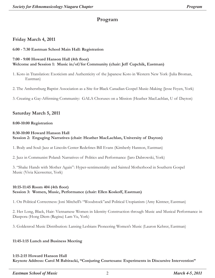# **Program**

# **Friday March 4, 2011**

#### **6:00 - 7:30 Eastman School Main Hall: Registration**

#### **7:00 - 9:00 Howard Hanson Hall (4th floor) Welcome and Session 1: Music in/of/for Community (chair: Jeff Cupchik, Eastman)**

- 1. Koto in Translation: Exoticism and Authenticity of the Japanese Koto in Western New York (Julia Broman, Eastman)
- 2. The Amherstburg Baptist Association as a Site for Black Canadian Gospel Music-Making (Jesse Feyen, York)
- 3. Creating a Gay-Affirming Community: GALA Choruses on a Mission (Heather MacLachlan, U of Dayton)

## **Saturday March 5, 2011**

#### **8:00-10:00 Registration**

#### **8:30-10:00 Howard Hanson Hall Session 2: Engaging Narratives (chair: Heather MacLachlan, University of Dayton)**

1. Body and Soul: Jazz at Lincoln Center Redefines Bill Evans (Kimberly Hannon, Eastman)

2. Jazz in Communist Poland: Narratives of Politics and Performance (Jaro Dabrowski, York)

3. "Shake Hands with Mother Again": Hyper-sentimentality and Sainted Motherhood in Southern Gospel Music (Vivia Kieswetter, York)

#### **10:15-11:45 Room 404 (4th floor) Session 3: Women, Music, Performance (chair: Ellen Koskoff, Eastman)**

1. On Political Correctness: Joni Mitchell's "Woodstock"and Political Utopianism (Amy Kintner, Eastman)

2. Her Long, Black, Hair: Vietnamese Women in Identity Construction through Music and Musical Performance in Diaspora (Hong Diem (Regina) Lam Vu, York)

3. Goldenrod Music Distribution: Lansing Lesbians Pioneering Women's Music (Lauron Kehrer, Eastman)

#### **11:45-1:15 Lunch and Business Meeting**

#### **1:15-2:15 Howard Hanson Hall Keynote Address: Carol M Babiracki, "Conjuring Courtesans: Experiments in Discursive Intervention"**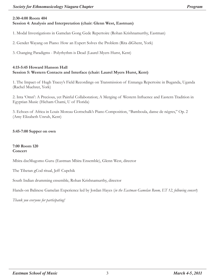#### **2:30-4:00 Room 404 Session 4: Analysis and Interpretation (chair: Glenn West, Eastman)**

1. Modal Investigations in Gamelan Gong Gede Repertoire (Rohan Krishnamurthy, Eastman)

2. Gender Wayang on Piano: How an Expert Solves the Problem (Rita diGhent, York)

3. Changing Paradigms - Polyrhythm is Dead (Laurel Myers Hurst, Kent)

#### **4:15-5:45 Howard Hanson Hall Session 5: Western Contacts and Interface (chair: Laurel Myers Hurst, Kent)**

1. The Impact of Hugh Tracey's Field Recordings on Transmission of Ennanga Repertoire in Buganda, Uganda (Rachel Muehrer, York)

2. Inta 'Omri': A Precious, yet Painful Collaboration; A Merging of Western Influence and Eastern Tradition in Egyptian Music (Hicham Chami, U of Florida)

3. Echoes of Africa in Louis Moreau Gottschalk's Piano Composition, "Bamboula, danse de nègres," Op. 2 (Amy Elizabeth Unruh, Kent)

**5:45-7:00 Supper on own**

#### **7:00 Room 120 Concert**

Mbira dzeMugomo Guru (Eastman Mbira Ensemble), Glenn West, director

The Tibetan gCod ritual, Jeff Cupchik

South Indian drumming ensemble, Rohan Krishnamurthy, director

Hands-on Balinese Gamelan Experience led by Jordan Hayes (*in the Eastman Gamelan Room, ET 12, following concert*)

*Thank you everyone for participating!*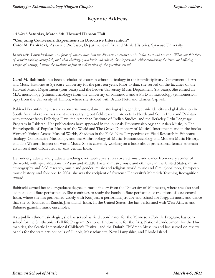# **Keynote Address**

### **1:15-2:15 Saturday, March 5th, Howard Hanson Hall**

#### **"Conjuring Courtesans: Experiments in Discursive Intervention"**

**Carol M. Babiracki**, Associate Professor, Department of Art and Music Histories, Syracuse University

*In this talk, I consider fiction as a form of intervention into the discourse on courtesans in India, past and present. What can this form of activist writing accomplish, and what challenges, academic and ethical, does it present? After considering the issues and offering a sample of writing, I invite the audience to join in a discussion of the questions raised*.

**Carol M. Babiracki** has been a scholar-educator in ethnomusicology in the interdisciplinary Department of Art and Music Histories at Syracuse University for the past ten years. Prior to that, she served on the faculties of the Harvard Music Department (four years) and the Brown University Music Department (six years). She earned an M.A. musicology (ethnomusicology) from the University of Minnesota and a Ph.D. in musicology (ethnomusicology) from the University of Illinois, where she studied with Bruno Nettl and Charles Capwell.

Babiracki's continuing research concerns music, dance, historiography, gender, ethnic identity and globalization in South Asia, where she has spent years carrying out field research projects in North and South India and Pakistan with support from Fulbright-Hays, the American Institute of Indian Studies, and the Berkeley Urdu Language Program in Pakistan. Her publications have appeared in the journals Ethnomusicology and Asian Music, in The Encyclopedia of Popular Musics of the World and The Grove Dictionary of Musical Instruments and in the books Women's Voices Across Musical Worlds, Shadows in the Field: New Perspectives on Field Research in Ethnomusicology, Comparative Musicology and the Anthropology of Music, Ethnomusicology and Modern Music History, and The Western Impact on World Music. She is currently working on a book about professional female entertainers in rural and urban areas of east-central India.

Her undergraduate and graduate teaching over twenty years has covered music and dance from every corner of the world, with specializations in Asian and Middle Eastern music, music and ethnicity in the United States, music ethnography and field research, music and gender, music and religion, world music and film, global pop, European music history, and folklore. In 2004, she was the recipient of Syracuse University's Meredith Teaching Recognition Award.

Babiracki earned her undergraduate degree in music theory from the University of Minnesota, where she also studied piano and flute performance. She continues to study the bamboo flute performance traditions of east-central India, where she has performed widely with Kunjban, a performing troupe and school for Nagpuri music and dance that she co-founded in Ranchi, Jharkhand, India. In the United States, she has performed with West African and Balinese gamelan music ensembles.

As a public ethnomusicologist, she has served as field coordinator for the Minnesota Folklife Program, has consulted for the Smithsonian Folklife Program, National Endowment for the Arts, National Endowment for the Humanities, the Seattle International Children's Festival, and the Duluth Children's Museum and has served on review panels for the state arts councils of Illinois, Massachusetts, New Hampshire, and Rhode Island.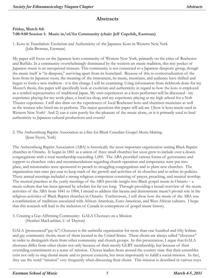# **Abstracts**

# **Friday, March 4th 7:00-9:00 Session 1: Music in/of/for Community (chair: Jeff Cupchik, Eastman)**

1. Koto in Translation: Exoticism and Authenticity of the Japanese Koto in Western New York (Julia Broman, Eastman)

My paper will focus on the Japanese koto community of Western New York, primarily on the cities of Rochester and Buffalo. In a community overwhelmingly dominated by the western art music tradition, this tiny pocket of Japanese music is an unexpected treasure. This community is not connected to a Japanese diasporic group, though the music itself is "in diaspora," surviving apart from its homeland. Because of this re-contextualization of the koto from its Japanese roots, the meaning of the instrument, its music, musicians, and audience have shifted and begun to form a new tradition - it is this change I will be examining. Using information from fieldwork done for my Master's thesis, this paper will specifically look at exoticism and authenticity in regard to how the koto is employed as a symbol representative of traditional Japan. My own experiences as a koto performer will be discussed - my experience playing for my work place, a local tea shop, and my experience playing at my high school for a Noh Theater experience. I will also draw on the experiences of local Rochester koto and shamisen musicians as well as the women who hired me to perform. The major questions this paper will ask are 1)how is koto music used in Western New York? And 2) can it exist purely for the pleasure of the music alone, or is it primarily used to lend authenticity to Japanese cultural productions and events?

2. The Amherstburg Baptist Association as a Site for Black Canadian Gospel Music-Making (Jesse Feyen, York)

The Amherstburg Baptist Association (ABA) is historically the most important organization uniting Black Baptist churches in Ontario. It began in 1841 as a union of three small churches but soon grew to include over a dozen congregations with a total membership exceeding 1,000. The ABA provided various forms of governance and support to churches: rules and recommendations regarding church operation and temperance were put into place, and missionaries were sponsored to preach to struggling congregations and to plant new churches. The organization met once per year to keep track of the growth and activities of its churches and to refine its policies. These annual meetings included a strong religious component consisting of prayer, preaching, and musical worship. The musical practices at the yearly meetings of the ABA provide insight into Black gospel music in Ontario – a music-culture that has been ignored by scholars for far too long. Through providing a broad overview of the music activities of the ABA from 1841 to 1984, I intend to address this lacuna and demonstrate music's pivotal role in the religious activities of Black Baptist churches in Ontario. Furthermore, I will show how the music of the ABA was a combination of traditions associated with African American, Euro-American, and West African cultures. I hope that this research will lead to the inclusion of Canada in conceptions of gospel music history.

3. Creating a Gay-Affirming Community: GALA Choruses on a Mission (Heather MacLachlan, U of Dayton)

GALA (pronounced"gay-la") Choruses is the umbrella organization for more than one hundred and fifty lesbian and gay community choirs, most of them located in the United States. These choirs are always called "choruses" in order to distinguish them from other community and church groups. In this presentation, I argue that GALA choruses differ from other choirs not only because of their mostly GLBT membership, but because of their overriding commitment to a sense of mission. Chorus leaders from around the country state that their ensembles exist not only to sing choral music and to present concerts, but most importantly to fulfill a social mission. In fact, they use the word "mission" very frequently when discussing their choirs. This mission is described in various ways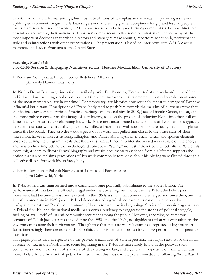in both formal and informal settings, but most articulations of it emphasize two ideas: 1) providing a safe and uplifting environment for gay and lesbian singers and 2) creating greater acceptance for gay and lesbian people in mainstream society. In other words, GALA choruses seek to build gay-affirming communities, both within their ensembles and among their audiences. Choruses' commitment to this sense of mission influences many of the most important decisions that artistic directors and managers make about a) repertoire selection b) performance style and c) interactions with other organizations. The presentation is based on interviews with GALA chorus members and leaders from across the United States.

#### **Saturday, March 5th 8:30-10:00 Session 2: Engaging Narratives (chair: Heather MacLachlan, University of Dayton)**

1. Body and Soul: Jazz at Lincoln Center Redefines Bill Evans (Kimberly Hannon, Eastman)

In 1965, a Down Beat magazine writer described pianist Bill Evans as, "Introverted at the keyboard … head bent to his inventions, seemingly oblivious to all but the secret messages … that emerge in musical translation as some of the most memorable jazz in our time." Contemporary jazz histories now routinely repeat this image of Evans as influential but distant. Descriptions of Evans' body tend to push him towards the margins of a jazz narrative that emphasizes extroversion, African American heritage, and masculinity. In 2010, Jazz at Lincoln Center, the largest and most public conveyor of this image of jazz history, took on the project of inducting Evans into their hall of fame in a live performance celebrating his work. Presenters incorporated characteristics of Evans as he is typically depicted, a serious white man playing Debussy-inflected harmonies with stooped posture nearly making his glasses touch the keyboard. They also drew out aspects of his work that pulled him closer to the other stars of their jazz canon, however, like Armstrong, Ellington, and Parker. An analysis of musical, visual, and spoken elements observed during the program reveals that the Evans Jazz at Lincoln Center showcased was capable of the energy and passion hovering behind the mythologized concept of "swing," not just introverted intellectualism. While this move might seem to distort Evans' biography and music, documentary evidence from his lifetime supports the notion that it also reclaims perceptions of his work common before ideas about his playing were filtered through a collective discomfort with his un-jazzy body.

2. Jazz in Communist Poland: Narratives of Politics and Performance (Jaro Dabrowski, York)

In 1945, Poland was transformed into a communist state politically subordinate to the Soviet Union. The performance of jazz became officially illegal under the Soviet regime, and by the late 1940s, the Polish jazz movement had become almost non-existent. In the 1950s, a small jazz community emerged and since then, until the fall of communism in 1989, jazz in Poland demonstrated a gradual increase in its nationwide popularity. Today, the mainstream Polish jazz community likes to romanticize its beginnings. Stories of repression against jazz in Poland flourish, and the national media has shown a tendency to exaggerate the stories of political struggle, fuelling or avail itself of an anti-communist sentiment among the public. However, according to numerous accounts of Polish jazz veterans active during the 1950s and the 1960s, no significant action was ever taken by the government to tame their performance. Though true that the state was reluctant to accept jazz as legitimate art form, interestingly there are no records of politically motivated attempts to disrupt jazz performances, or penalize musicians.

This paper points that, irrespective of the pervasive narratives of state repression, the major reasons for the initial absence of jazz in the Polish music scene beginning in the 1940s are more likely found in the postwar socioeconomic situation, the result of six years of devastating warfare, and a general unpopularity of jazz, which was more likely effected by a lack of public familiarity with this music in the years immediately following World War II.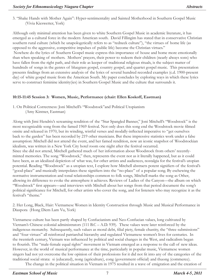3. "Shake Hands with Mother Again": Hyper-sentimentality and Sainted Motherhood in Southern Gospel Music (Vivia Kieswetter, York)

Although only minimal attention has been given to white Southern Gospel Music in academic literature, it has emerged as a cultural force in the modern American south. David Fillingim has stated that in conservative Christian southern rural culture (which he unapologetically refers to as "redneck culture"), "the virtues of home life (as opposed to the aggressive, competitive impulses of public life) become the Christian virtues." Nowhere do the lyrics of Southern Gospel music express this importance of house and home more emotionally than when speaking of mothers. Mothers' prayers, their power to redeem their children (nearly always sons) who have fallen from the right path, and their role as keeper of traditional religious rituals, is the subject matter of hundreds of songs in the genres of bluegrass gospel, country gospel, and quartet gospel music. This presentation presents findings from an extensive analysis of the lyrics of several hundred recorded examples (c.d. 1900-present day) of white gospel music from the American South. My paper concludes by exploring ways in which these lyrics serve to construct feminine identity(ies) in Southern Gospel Music and the culture that surrounds it.

#### **10:15-11:45 Session 3: Women, Music, Performance (chair: Ellen Koskoff, Eastman)**

1. On Political Correctness: Joni Mitchell's "Woodstock"and Political Utopianism

(Amy Kintner, Eastman)

Along with Jimi Hendrix's screaming rendition of the "Star Spangled Banner," Joni Mitchell's "Woodstock" is the most recognizable song from the famed 1969 festival. Not only does this song end the Woodstock movie filmed onsite and released in 1970, but its winding, wistful verses and modally-inflected imperative to "get ourselves back to the garden" has been recorded by 219 other musicians. But these impressive statistics work under a false assumption: Mitchell did not attend the event, and her famed rendition, now an iconic snapshot of Woodstockian idealism, was written in a New York City hotel room one night after the festival occurred. Since she did not attend, Mitchell gathered much of her information about Woodstock from others' recentlyminted memories. The song "Woodstock," then, represents the event not as it literally happened, but as it could have been, as an idealized depiction of what was, for other artists and audiences, nostalgia for the festival's utopian potential. Reading "Woodstock" as a utopian text, I explore how Mitchell abstracts potent signifiers of the festival's "good-place" and musically interpolates these signifiers into the "no-place" of a popular song. By eschewing the normative instrumentation and tonal relationships common to folk songs, Mitchell marks the song as Other, allowing its difference to evoke the atmosphere it achieves. Reviews of Ladies of the Canyon—the album on which "Woodstock" first appears—and interviews with Mitchell about her songs from that period document the song's political significance for Mitchell, for other artists who cover the song, and for listeners who may recognize it as the festival's "theme."

2. Her Long, Black, Hair: Vietnamese Women in Identity Construction through Music and Musical Performance in Diaspora (Hong Diem Lam Vu, York)

Vietnamese culture has been partly shaped by Confucianism and Neo-Confucian values, long cultivated by Vietnam's Chinese colonial administrators (111 B.C – A.D. 939). These values were later reinforced by the indigenous monarchy. Subsequently, such values as moral debt, filial piety, female chastity, the "three submissions" and "four virtues" all reinforced patriarchal hierarchy and regulated Vietnamese women's lives for centuries. In the twentieth century, Vietnam was influenced by political and social changes in the West, and radicalism began to flourish. The "male-female equal rights" movement in Vietnam emerged as a response to the call of new ideas. However, in the world of musical performance at the time, particularly in popular music, Vietnamese women singers had not yet overcome the low opinion of their professions for it did not fit into any of the categories of the traditional social strata: si (educated), nong (agriculture), cong (government official) and thuong (commerce).

The change in the political situation in Vietnam in 1975 resulted in a wave of emigration and the creation of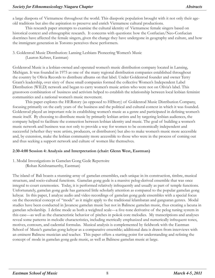a large diaspora of Vietnamese throughout the world. This diasporic population brought with it not only their ageold traditions but also the aspiration to preserve and enrich Vietnamese cultural productions.

This research paper attempts to examine the cultural identity of Vietnamese female singers based on historical context and ethnographic research. It concerns with questions: how the Confucian/Neo-Confucian doctrines have affected the female singers, given the change they have undergone in geography and culture, and how the immigrant generation in Toronto perceives these performers.

3. Goldenrod Music Distribution: Lansing Lesbians Pioneering Women's Music

(Lauron Kehrer, Eastman)

Goldenrod Music is a lesbian-owned and operated women's music distribution company located in Lansing, Michigan. It was founded in 1975 as one of the many regional distribution companies established throughout the country by Olivia Records to distribute albums on that label. Under Goldenrod founder and owner Terry Grant's leadership, over sixty of these small companies formed the collective Women's Independent Label Distribution (WILD) network and began to carry women's music artists who were not on Olivia's label. This grassroots combination of business and activism helped to establish the relationship between local lesbian feminist communities and a national women's music movement.

This paper explores the HERstory (as opposed to HIStory) of Goldenrod Music Distribution Company, focusing primarily on the early years of the business and the political and cultural context in which it was founded. Goldenrod played an important role in establishing women's music as a genre and participated in defining women's music itself. By choosing to distribute music by primarily lesbian artists and by targeting lesbian audiences, the company helped to facilitate the connection between lesbian identity and music. The goal of building a women's music network and business was not only to provide a way for women to be economically independent and successful (whether they were artists, producers, or distributors) but also to make women's music more accessible and, by extension, make the lesbian community more accessible to those who were in the process of coming out and thus seeking a support network and culture of women like themselves.

#### **2:30-4:00 Session 4: Analysis and Interpretation (chair: Glenn West, Eastman)**

- 1. Modal Investigations in Gamelan Gong Gede Repertoire
	- (Rohan Krishnamurthy, Eastman)

The island of Bali boasts a stunning array of gamelan ensembles, each unique in its construction, timbre, musical structure, and socio-cultural functions. Gamelan gong gede is a massive pelog-derived ensemble that was once integral to court ceremonies. Today, it is performed relatively infrequently and usually as part of temple functions. Unfortunately, gamelan gong gede has garnered little scholarly attention as compared to the popular gamelan gong kebyar. In this paper, I analyze audio and video recordings of gamelan gong gede ensembles with a special focus on the theoretical concept of "mode" as it might apply to the traditional lelambatan and gangsaran genres. Modal studies have been conducted in Javanese gamelan music but not in Balinese gamelan music, thus creating a lacuna in gamelan scholarship. I define mode as both a weighted scale—a five-tone derivative of the pelog tuning system in this case—as well as the characteristic behavior of pitches in pokok core melodies. My transcriptions and analyses reveal some patterns in melodic characteristics, including metrically emphasized and numerically infrequent tones, motives, contours, and cadential formulas. Musical analysis is complemented by fieldwork with the Eastman School of Music's gamelan gong kebyar as a comparative ensemble; additional data is drawn from interviews with an eminent Balinese musician and teacher. This paper offers a starting point for understanding and refining the concept of mode in gamelan gong gede music, as well as Balinese gamelan music at large.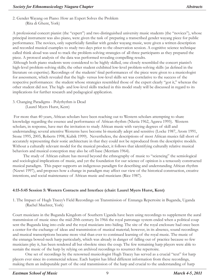2. Gender Wayang on Piano: How an Expert Solves the Problem (Rita di Ghent, York)

A professional concert pianist (the "expert") and two distinguished university music students (the "novices"), whose principal instrument was also piano, were given the task of preparing a transcribed gender wayang piece for public performance. The novices, only superficially familiar with gender wayang music, were given a written description and recorded musical examples to study two days prior to the observation session. A cognitive science technique called think aloud was used to track the problem-solving strategies of all three participants as they prepared the piece. A protocol analysis of the data was performed revealing compelling results.

Although both piano students were considered to be highly skilled, one closely resembled the concert pianist's high-level problem-solving skills; the other student exhibited low-level problem-solving skills (as defined in the literature on expertise). Recordings of the students' final performances of the piece were given to a musicologist for assessment, which revealed that the high- versus low-level skills set was correlative to the success of the respective performances: the student whose strategies resembled those of the expert clearly "got it," whereas the other student did not. The high- and low-level skills tracked in this model study will be discussed in regard to its implications for further research and pedagogical application.

3. Changing Paradigms - Polyrhythm is Dead (Laurel Myers Hurst, Kent)

 For more than 40 years, African scholars have been reaching out to Western scholars attempting to share knowledge regarding the essence and performance of African rhythm (Nketia 1962, Agawu 1995). Western scholars, in response, have met the invitation to study African music with varying degrees of skill and understanding; several attentive Westerns have become bi-musically adept and sensitive (Locke 1987, Arom 1991, Stone 1995, 2005, Roberts 1998, Kubik 1999). Nevertheless, the descriptions of most African musics fall short of accurately representing their sonic architecture in that they could not be reproduced from the descriptive models. Without a culturally relevant model for the musical product, it follows that identifying culturally relative musical behaviors and musical conception may also be off-base (Merriam 1964).

 The study of African culture has moved beyond the ethnography of music to "sciencing" the semiological and sociological implications of music, and yet the foundation for our science of opinion is a tenuously constructed musical paradigm. This paper supports an indigenous paradigm for describing and understanding African rhythm (Nzewi 1997), and proposes how a change in paradigm may affect our view of the historical construction, creative intentions, and social maintenance of African music and musicians (Rice 1987).

#### **4:15-5:45 Session 5: Western Contacts and Interface (chair: Laurel Myers Hurst, Kent)**

1. The Impact of Hugh Tracey's Field Recordings on Transmission of Ennanga Repertoire in Buganda, Uganda (Rachel Muehrer, York)

Court musicians in the Buganda Kingdom of Southern Uganda have been using recordings to supplement the aural transmission of music since the mid-20th century. In 1966 the royal patronage system ended when a political coup sent the Buganda king into exile and the royal musicians into hiding. The site of the royal enclosure had once been a center for the exchange of ideas and transmission of musical material; however, in its absence, sound recordings and musical transcriptions became more vital than ever to continued learning of the royal music. The music of the ennanga bowed-neck harp particularly, which was already in danger of falling out of practice because so few musicians play it, has been rendered all but obsolete since the coup. The few remaining harp players were able to sustain the music of the harp by relying on archived recordings to resurrect the repertoire.

One set of recordings by the renowned musicologist Hugh Tracey has served as a crucial "text" for harp players ever since its commercial release. Each harpist has lifted different information from these recordings, making them an indisputable part of the oral transmission of the harp and crucial to the understanding of harp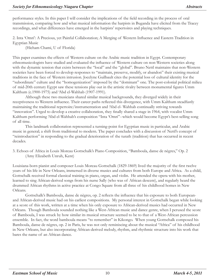performance styles. In this paper I will consider the implications of the field recording in the process of oral transmission, comparing how and what musical information the harpists in Buganda have elicited from the Tracey recordings, and what differences have emerged in the harpists' repertoires and playing techniques.

2. Inta 'Omri': A Precious, yet Painful Collaboration; A Merging of Western Influence and Eastern Tradition in Egyptian Music

(Hicham Chami, U of Florida)

This paper examines the effects of Western culture on the Arabic music tradition in Egypt. Contemporary ethnomusicologists have studied and evaluated the influence of Western culture on non-Western societies along with the dynamic tension that exists between the "local" and the "global". Bruno Nettl maintains that non-Western societies have been forced to develop responses to "maintain, preserve, modify, or abandon" their existing musical traditions in the face of Western intrusion. Jocelyne Guilbault cites the potential loss of cultural identity for the "subordinate" culture and the "homogenization" imposed by the "dominant" one. The post-colonial political milieu of mid-20th century Egypt saw these tensions play out in the artistic rivalry between monumental figures Umm Kalthum (c.1900-1975) and 'Abd el-Wahhab (1907-1991).

Although these two musicians shared similar musical backgrounds, they diverged widely in their receptiveness to Western influence. Their career paths reflected this divergence, with Umm Kalthum steadfastly maintaining the traditional repertoire/instrumentation and 'Abd el- Wahhab continually striving towards "innovation". Urged to develop a creative collaboration, they finally shared a stage in 1964, with vocalist Umm Kalthum performing 'Abd el-Wahhab's composition "Inta 'Omri"--which would become Egypt's best-selling song of all time.

This landmark collaboration represented a turning-point for Egyptian music in particular, and Arabic music in general; a shift from traditional to modern. The paper concludes with a discussion of Nettl's concept of "reintroduction" in responding to the gradual deterioration of the turath (tradition) that has occurred in recent decades.

3. Echoes of Africa in Louis Moreau Gottschalk's Piano Composition, "Bamboula, danse de nègres," Op. 2 (Amy Elizabeth Unruh, Kent)

Louisiana-born pianist and composer Louis Moreau Gottschalk (1829-1869) lived the majority of the first twelve years of his life in New Orleans, immersed in diverse musics and cultures from both Europe and Africa. As a child, Gottschalk received formal classical training in piano, organ, and violin. He attended the opera with his mother, learned to sing African-derived songs from his nurse Sally (who was of African descent), and regularly heard the drummed African rhythms in active practice at Congo Square from all three of his childhood homes in New Orleans.

Gottschalk's Bamboula, danse de nègres, op. 2 reflects the influence that his exposure to both Europeanand African-derived music had on his earliest compositions. My personal interest in Gottschalk began while looking at a score of this work, written at a time when his only exposure to African-derived musics had occurred in New Orleans. Though Bamboula sounded nothing like a West-African music and dance genre, when I perused the score of Bamboula, I was struck by how similar its musical structure seemed to be to that of a West-African percussion ensemble. In fact, the word bamboula means "to remember" in Kikongo. When young Gottschalk composed his Bamboula, danse de nègres, op. 2 in Paris, he was not only reminiscing about the musical "Africa" of his childhood in New Orleans, but also incorporating African-derived melody, rhythm, and rhythmic structure into his work that bares the name of an African dance.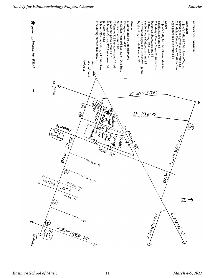